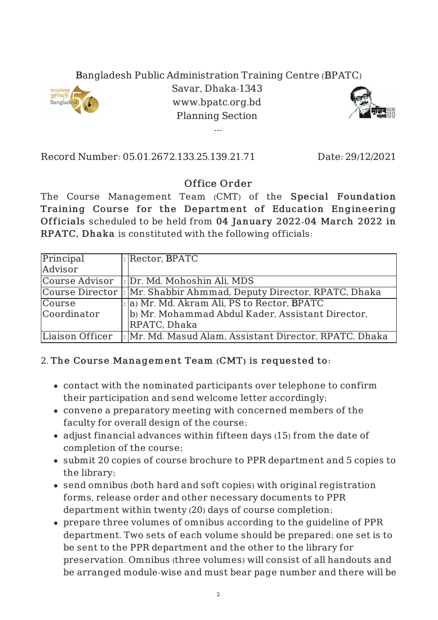## Bangladesh Public Administration Training Centre (BPATC)



Savar, Dhaka-1343 www.bpatc.org.bd Planning Section

---



Record Number: 05.01.2672.133.25.139.21.71 Date: 29/12/2021

## Office Order

The Course Management Team (CMT) of the Special Foundation Training Course for the Department of Education Engineering Officials scheduled to be held from 04 January 2022-04 March 2022 in RPATC, Dhaka is constituted with the following officials:

| Principal       | $\lvert \cdot \rvert$ Rector, BPATC                                  |
|-----------------|----------------------------------------------------------------------|
| Advisor         |                                                                      |
| Course Advisor  | : Dr. Md. Mohoshin Ali, MDS                                          |
|                 | Course Director  : Mr. Shabbir Ahmmad, Deputy Director, RPATC, Dhaka |
| Course          | : a) Mr. Md. Akram Ali, PS to Rector, BPATC                          |
| Coordinator     | b) Mr. Mohammad Abdul Kader, Assistant Director,                     |
|                 | RPATC, Dhaka                                                         |
| Liaison Officer | : Mr. Md. Masud Alam, Assistant Director, RPATC, Dhaka               |

## 2. The Course Management Team (CMT) is requested to:

- contact with the nominated participants over telephone to confirm their participation and send welcome letter accordingly;
- convene a preparatory meeting with concerned members of the faculty for overall design of the course;
- adjust financial advances within fifteen days (15) from the date of completion of the course;
- submit 20 copies of course brochure to PPR department and 5 copies to the library;
- send omnibus (both hard and soft copies) with original registration forms, release order and other necessary documents to PPR department within twenty (20) days of course completion;
- prepare three volumes of omnibus according to the guideline of PPR department. Two sets of each volume should be prepared; one set is to be sent to the PPR department and the other to the library for preservation. Omnibus (three volumes) will consist of all handouts and be arranged module-wise and must bear page number and there will be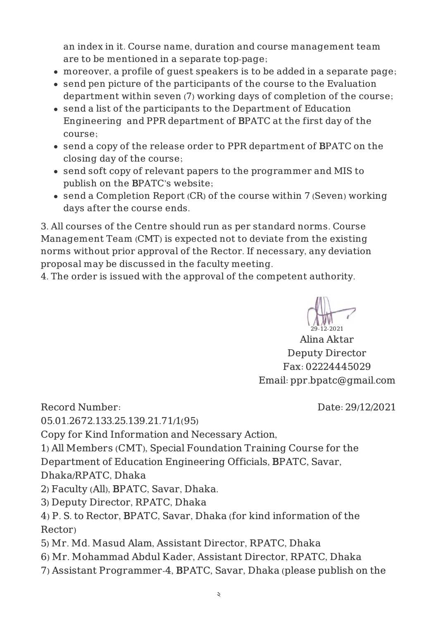an index in it. Course name, duration and course management team are to be mentioned in a separate top-page;

- moreover, a profile of guest speakers is to be added in a separate page;
- send pen picture of the participants of the course to the Evaluation department within seven (7) working days of completion of the course;
- send a list of the participants to the Department of Education Engineering and PPR department of BPATC at the first day of the course;
- send a copy of the release order to PPR department of BPATC on the closing day of the course;
- send soft copy of relevant papers to the programmer and MIS to publish on the BPATC's website;
- send a Completion Report (CR) of the course within 7 (Seven) working days after the course ends.

3. All courses of the Centre should run as per standard norms. Course Management Team (CMT) is expected not to deviate from the existing norms without prior approval of the Rector. If necessary, any deviation proposal may be discussed in the faculty meeting.

4. The order is issued with the approval of the competent authority.



Alina Aktar Deputy Director Fax: 02224445029 Email: ppr.bpatc@gmail.com

Date: 29/12/2021

Record Number:

05.01.2672.133.25.139.21.71/1(95)

Copy for Kind Information and Necessary Action,

1) All Members (CMT), Special Foundation Training Course for the

Department of Education Engineering Officials, BPATC, Savar,

Dhaka/RPATC, Dhaka

2) Faculty (All), BPATC, Savar, Dhaka.

3) Deputy Director, RPATC, Dhaka

4) P. S. to Rector, BPATC, Savar, Dhaka (for kind information of the Rector)

- 5) Mr. Md. Masud Alam, Assistant Director, RPATC, Dhaka
- 6) Mr. Mohammad Abdul Kader, Assistant Director, RPATC, Dhaka
- 7) Assistant Programmer-4, BPATC, Savar, Dhaka (please publish on the